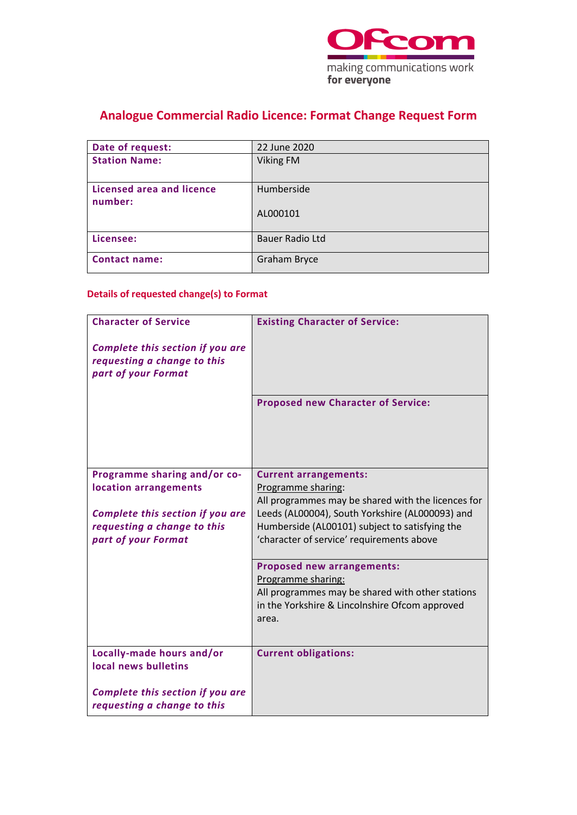

# **Analogue Commercial Radio Licence: Format Change Request Form**

| Date of request:                     | 22 June 2020           |
|--------------------------------------|------------------------|
| <b>Station Name:</b>                 | <b>Viking FM</b>       |
| Licensed area and licence<br>number: | Humberside             |
|                                      | AL000101               |
| Licensee:                            | <b>Bauer Radio Ltd</b> |
| <b>Contact name:</b>                 | Graham Bryce           |

### **Details of requested change(s) to Format**

| <b>Character of Service</b>                                                            | <b>Existing Character of Service:</b>                                                              |
|----------------------------------------------------------------------------------------|----------------------------------------------------------------------------------------------------|
| Complete this section if you are<br>requesting a change to this<br>part of your Format |                                                                                                    |
|                                                                                        | <b>Proposed new Character of Service:</b>                                                          |
| Programme sharing and/or co-                                                           | <b>Current arrangements:</b>                                                                       |
| location arrangements                                                                  | Programme sharing:<br>All programmes may be shared with the licences for                           |
| Complete this section if you are                                                       | Leeds (AL00004), South Yorkshire (AL000093) and                                                    |
| requesting a change to this<br>part of your Format                                     | Humberside (AL00101) subject to satisfying the<br>'character of service' requirements above        |
|                                                                                        |                                                                                                    |
|                                                                                        | Proposed new arrangements:                                                                         |
|                                                                                        | Programme sharing:                                                                                 |
|                                                                                        | All programmes may be shared with other stations<br>in the Yorkshire & Lincolnshire Ofcom approved |
|                                                                                        | area.                                                                                              |
|                                                                                        |                                                                                                    |
| Locally-made hours and/or<br>local news bulletins                                      | <b>Current obligations:</b>                                                                        |
| Complete this section if you are<br>requesting a change to this                        |                                                                                                    |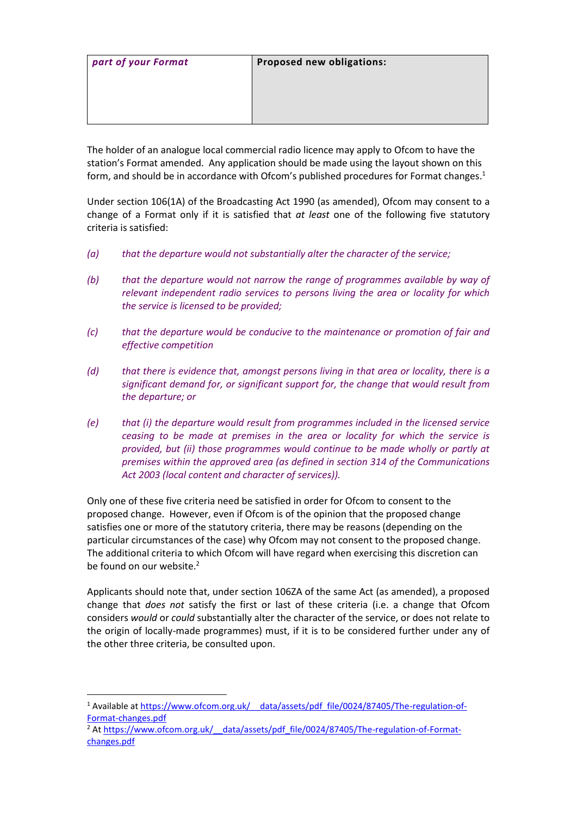| part of your Format | Proposed new obligations: |
|---------------------|---------------------------|
|                     |                           |
|                     |                           |
|                     |                           |
|                     |                           |

The holder of an analogue local commercial radio licence may apply to Ofcom to have the station's Format amended. Any application should be made using the layout shown on this form, and should be in accordance with Ofcom's published procedures for Format changes. 1

Under section 106(1A) of the Broadcasting Act 1990 (as amended), Ofcom may consent to a change of a Format only if it is satisfied that *at least* one of the following five statutory criteria is satisfied:

- *(a) that the departure would not substantially alter the character of the service;*
- *(b) that the departure would not narrow the range of programmes available by way of relevant independent radio services to persons living the area or locality for which the service is licensed to be provided;*
- *(c) that the departure would be conducive to the maintenance or promotion of fair and effective competition*
- *(d) that there is evidence that, amongst persons living in that area or locality, there is a significant demand for, or significant support for, the change that would result from the departure; or*
- *(e) that (i) the departure would result from programmes included in the licensed service ceasing to be made at premises in the area or locality for which the service is provided, but (ii) those programmes would continue to be made wholly or partly at premises within the approved area (as defined in section 314 of the Communications Act 2003 (local content and character of services)).*

Only one of these five criteria need be satisfied in order for Ofcom to consent to the proposed change. However, even if Ofcom is of the opinion that the proposed change satisfies one or more of the statutory criteria, there may be reasons (depending on the particular circumstances of the case) why Ofcom may not consent to the proposed change. The additional criteria to which Ofcom will have regard when exercising this discretion can be found on our website.<sup>2</sup>

Applicants should note that, under section 106ZA of the same Act (as amended), a proposed change that *does not* satisfy the first or last of these criteria (i.e. a change that Ofcom considers *would* or *could* substantially alter the character of the service, or does not relate to the origin of locally-made programmes) must, if it is to be considered further under any of the other three criteria, be consulted upon.

<sup>&</sup>lt;sup>1</sup> Available at https://www.ofcom.org.uk/ data/assets/pdf\_file/0024/87405/The-regulation-of-[Format-changes.pdf](https://www.ofcom.org.uk/__data/assets/pdf_file/0024/87405/The-regulation-of-Format-changes.pdf)

<sup>&</sup>lt;sup>2</sup> At https://www.ofcom.org.uk/ \_data/assets/pdf\_file/0024/87405/The-regulation-of-Format[changes.pdf](https://www.ofcom.org.uk/__data/assets/pdf_file/0024/87405/The-regulation-of-Format-changes.pdf)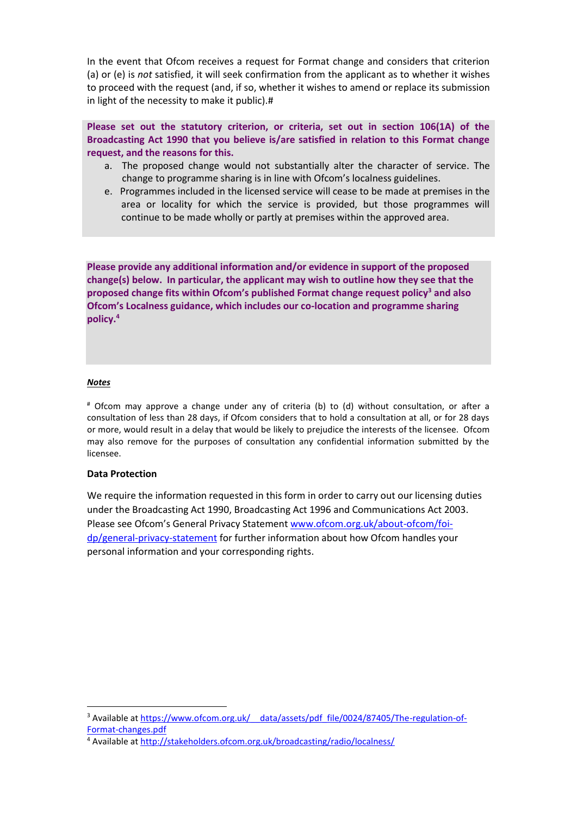In the event that Ofcom receives a request for Format change and considers that criterion (a) or (e) is *not* satisfied, it will seek confirmation from the applicant as to whether it wishes to proceed with the request (and, if so, whether it wishes to amend or replace its submission in light of the necessity to make it public).#

**Please set out the statutory criterion, or criteria, set out in section 106(1A) of the Broadcasting Act 1990 that you believe is/are satisfied in relation to this Format change request, and the reasons for this.**

- a. The proposed change would not substantially alter the character of service. The change to programme sharing is in line with Ofcom's localness guidelines.
- e. Programmes included in the licensed service will cease to be made at premises in the area or locality for which the service is provided, but those programmes will continue to be made wholly or partly at premises within the approved area.

**Please provide any additional information and/or evidence in support of the proposed change(s) below. In particular, the applicant may wish to outline how they see that the proposed change fits within Ofcom's published Format change request policy<sup>3</sup> and also Ofcom's Localness guidance, which includes our co-location and programme sharing policy. 4**

#### *Notes*

# Ofcom may approve a change under any of criteria (b) to (d) without consultation, or after a consultation of less than 28 days, if Ofcom considers that to hold a consultation at all, or for 28 days or more, would result in a delay that would be likely to prejudice the interests of the licensee. Ofcom may also remove for the purposes of consultation any confidential information submitted by the licensee.

### **Data Protection**

We require the information requested in this form in order to carry out our licensing duties under the Broadcasting Act 1990, Broadcasting Act 1996 and Communications Act 2003. Please see Ofcom's General Privacy Statement [www.ofcom.org.uk/about-ofcom/foi](http://www.ofcom.org.uk/about-ofcom/foi-dp/general-privacy-statement)[dp/general-privacy-statement](http://www.ofcom.org.uk/about-ofcom/foi-dp/general-privacy-statement) for further information about how Ofcom handles your personal information and your corresponding rights.

<sup>&</sup>lt;sup>3</sup> Available at https://www.ofcom.org.uk/ data/assets/pdf\_file/0024/87405/The-regulation-of-[Format-changes.pdf](https://www.ofcom.org.uk/__data/assets/pdf_file/0024/87405/The-regulation-of-Format-changes.pdf)

<sup>4</sup> Available at<http://stakeholders.ofcom.org.uk/broadcasting/radio/localness/>